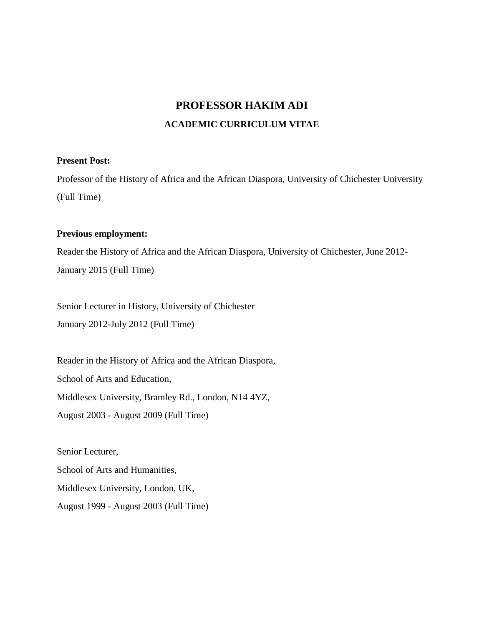# **PROFESSOR HAKIM ADI ACADEMIC CURRICULUM VITAE**

### **Present Post:**

Professor of the History of Africa and the African Diaspora, University of Chichester University (Full Time)

### **Previous employment:**

Reader the History of Africa and the African Diaspora, University of Chichester, June 2012- January 2015 (Full Time)

Senior Lecturer in History, University of Chichester January 2012-July 2012 (Full Time)

Reader in the History of Africa and the African Diaspora, School of Arts and Education, Middlesex University, Bramley Rd., London, N14 4YZ, August 2003 - August 2009 (Full Time)

Senior Lecturer, School of Arts and Humanities, Middlesex University, London, UK, August 1999 - August 2003 (Full Time)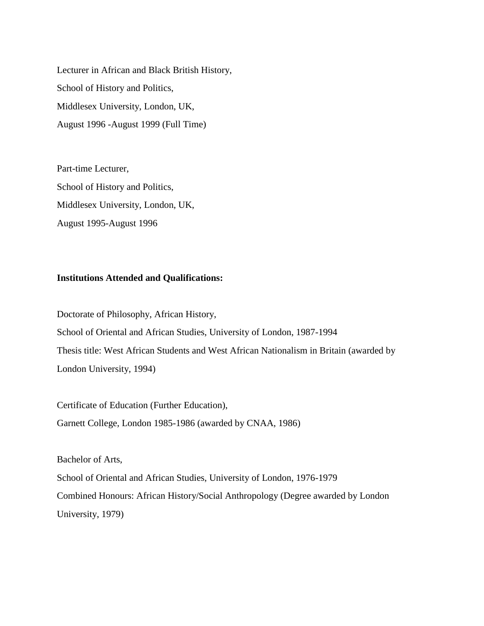Lecturer in African and Black British History, School of History and Politics, Middlesex University, London, UK, August 1996 -August 1999 (Full Time)

Part-time Lecturer, School of History and Politics, Middlesex University, London, UK, August 1995-August 1996

### **Institutions Attended and Qualifications:**

Doctorate of Philosophy, African History, School of Oriental and African Studies, University of London, 1987-1994 Thesis title: West African Students and West African Nationalism in Britain (awarded by London University, 1994)

Certificate of Education (Further Education), Garnett College, London 1985-1986 (awarded by CNAA, 1986)

Bachelor of Arts,

School of Oriental and African Studies, University of London, 1976-1979 Combined Honours: African History/Social Anthropology (Degree awarded by London University, 1979)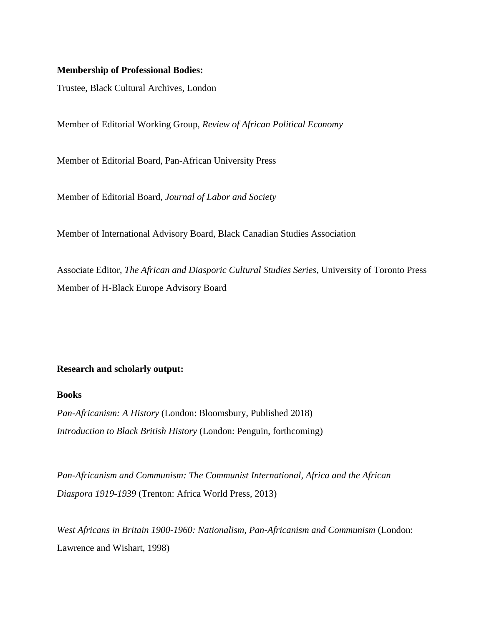### **Membership of Professional Bodies:**

Trustee, Black Cultural Archives, London

Member of Editorial Working Group, *Review of African Political Economy*

Member of Editorial Board, Pan-African University Press

Member of Editorial Board, *Journal of Labor and Society*

Member of International Advisory Board, Black Canadian Studies Association

Associate Editor, *The African and Diasporic Cultural Studies Series*, University of Toronto Press Member of H-Black Europe Advisory Board

### **Research and scholarly output:**

#### **Books**

*Pan-Africanism: A History* (London: Bloomsbury, Published 2018) *Introduction to Black British History* (London: Penguin, forthcoming)

*Pan-Africanism and Communism: The Communist International, Africa and the African Diaspora 1919-1939* (Trenton: Africa World Press, 2013)

*West Africans in Britain 1900-1960: Nationalism, Pan-Africanism and Communism* (London: Lawrence and Wishart, 1998)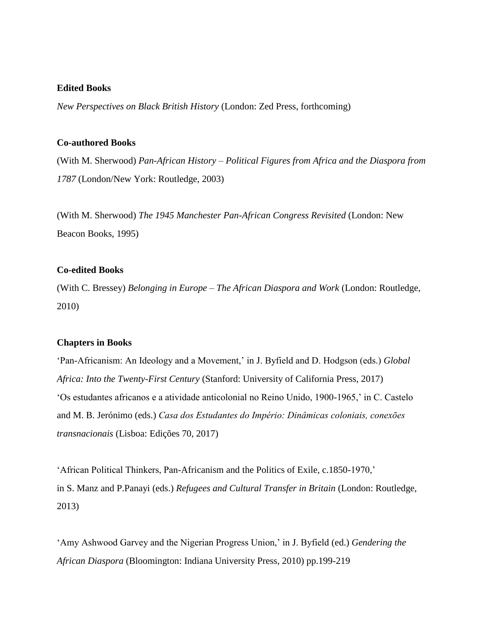#### **Edited Books**

*New Perspectives on Black British History* (London: Zed Press, forthcoming)

#### **Co-authored Books**

(With M. Sherwood) *Pan-African History – Political Figures from Africa and the Diaspora from 1787* (London/New York: Routledge, 2003)

(With M. Sherwood) *The 1945 Manchester Pan-African Congress Revisited* (London: New Beacon Books, 1995)

### **Co-edited Books**

(With C. Bressey) *Belonging in Europe – The African Diaspora and Work* (London: Routledge, 2010)

#### **Chapters in Books**

'Pan-Africanism: An Ideology and a Movement,' in J. Byfield and D. Hodgson (eds.) *Global Africa: Into the Twenty-First Century* (Stanford: University of California Press, 2017) 'Os estudantes africanos e a atividade anticolonial no Reino Unido, 1900-1965,' in C. Castelo and M. B. Jerónimo (eds.) *Casa dos Estudantes do Império: Dinâmicas coloniais, conexōes transnacionais* (Lisboa: Edições 70, 2017)

'African Political Thinkers, Pan-Africanism and the Politics of Exile, c.1850-1970,' in S. Manz and P.Panayi (eds.) *Refugees and Cultural Transfer in Britain* (London: Routledge, 2013)

'Amy Ashwood Garvey and the Nigerian Progress Union,' in J. Byfield (ed.) *Gendering the African Diaspora* (Bloomington: Indiana University Press, 2010) pp.199-219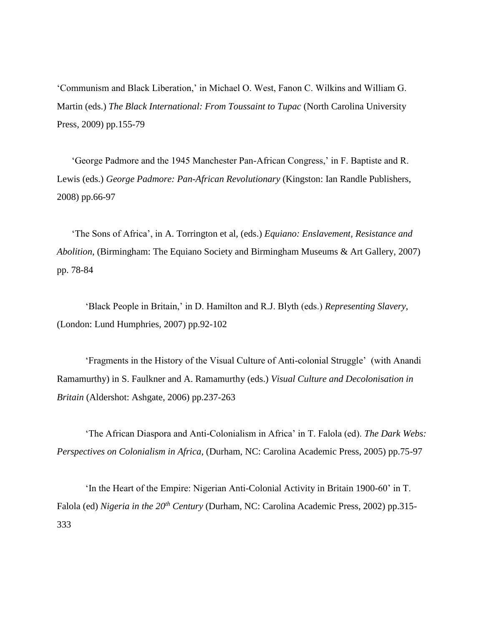'Communism and Black Liberation,' in Michael O. West, Fanon C. Wilkins and William G. Martin (eds.) *The Black International: From Toussaint to Tupac* (North Carolina University Press, 2009) pp.155-79

'George Padmore and the 1945 Manchester Pan-African Congress,' in F. Baptiste and R. Lewis (eds.) *George Padmore: Pan-African Revolutionary* (Kingston: Ian Randle Publishers, 2008) pp.66-97

'The Sons of Africa', in A. Torrington et al, (eds.) *Equiano: Enslavement, Resistance and Abolition*, (Birmingham: The Equiano Society and Birmingham Museums & Art Gallery, 2007) pp. 78-84

'Black People in Britain,' in D. Hamilton and R.J. Blyth (eds.) *Representing Slavery*, (London: Lund Humphries, 2007) pp.92-102

'Fragments in the History of the Visual Culture of Anti-colonial Struggle' (with Anandi Ramamurthy) in S. Faulkner and A. Ramamurthy (eds.) *Visual Culture and Decolonisation in Britain* (Aldershot: Ashgate, 2006) pp.237-263

'The African Diaspora and Anti-Colonialism in Africa' in T. Falola (ed). *The Dark Webs: Perspectives on Colonialism in Africa*, (Durham, NC: Carolina Academic Press, 2005) pp.75-97

'In the Heart of the Empire: Nigerian Anti-Colonial Activity in Britain 1900-60' in T. Falola (ed) *Nigeria in the 20th Century* (Durham, NC: Carolina Academic Press, 2002) pp.315- 333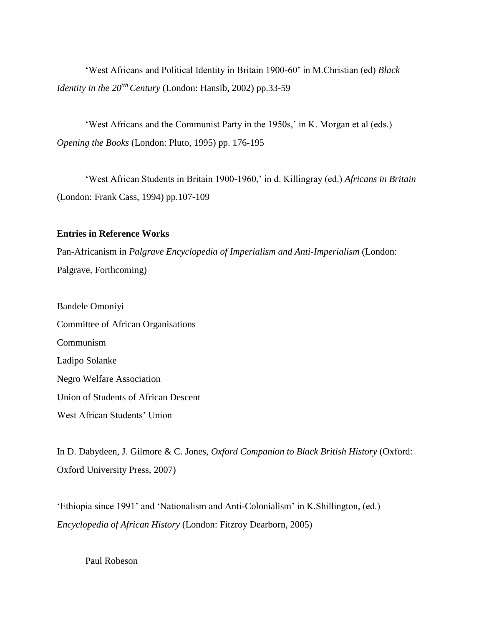'West Africans and Political Identity in Britain 1900-60' in M.Christian (ed) *Black Identity in the*  $20^{th}$  *Century* (London: Hansib, 2002) pp.33-59

'West Africans and the Communist Party in the 1950s,' in K. Morgan et al (eds.) *Opening the Books* (London: Pluto, 1995) pp. 176-195

'West African Students in Britain 1900-1960,' in d. Killingray (ed.) *Africans in Britain* (London: Frank Cass, 1994) pp.107-109

### **Entries in Reference Works**

Pan-Africanism in *Palgrave Encyclopedia of Imperialism and Anti-Imperialism* (London: Palgrave, Forthcoming)

Bandele Omoniyi Committee of African Organisations Communism Ladipo Solanke Negro Welfare Association Union of Students of African Descent West African Students' Union

In D. Dabydeen, J. Gilmore & C. Jones, *Oxford Companion to Black British History* (Oxford: Oxford University Press, 2007)

'Ethiopia since 1991' and 'Nationalism and Anti-Colonialism' in K.Shillington, (ed.) *Encyclopedia of African History* (London: Fitzroy Dearborn, 2005)

Paul Robeson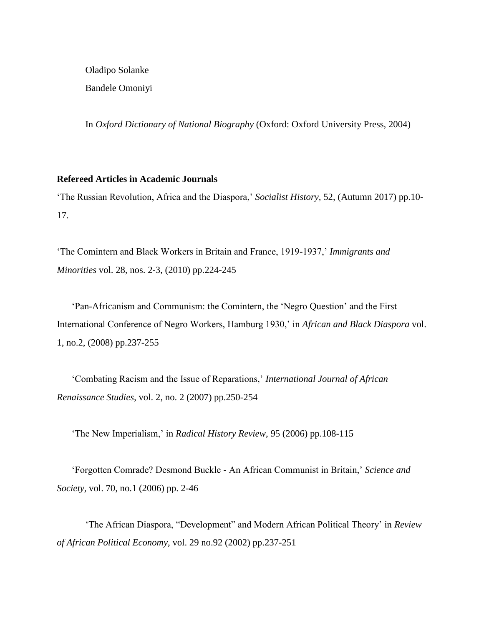Oladipo Solanke Bandele Omoniyi

In *Oxford Dictionary of National Biography* (Oxford: Oxford University Press, 2004)

### **Refereed Articles in Academic Journals**

'The Russian Revolution, Africa and the Diaspora,' *Socialist History,* 52, (Autumn 2017) pp.10- 17.

'The Comintern and Black Workers in Britain and France, 1919-1937,' *Immigrants and Minorities* vol. 28, nos. 2-3, (2010) pp.224-245

'Pan-Africanism and Communism: the Comintern, the 'Negro Question' and the First International Conference of Negro Workers, Hamburg 1930,' in *African and Black Diaspora* vol. 1, no.2, (2008) pp.237-255

'Combating Racism and the Issue of Reparations,' *International Journal of African Renaissance Studies,* vol. 2, no. 2 (2007) pp.250-254

'The New Imperialism,' in *Radical History Review*, 95 (2006) pp.108-115

'Forgotten Comrade? Desmond Buckle - An African Communist in Britain,' *Science and Society,* vol. 70, no.1 (2006) pp. 2-46

'The African Diaspora, "Development" and Modern African Political Theory' in *Review of African Political Economy*, vol. 29 no.92 (2002) pp.237-251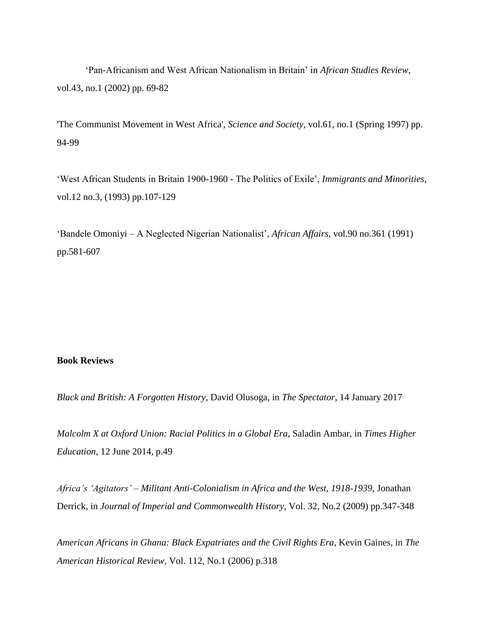'Pan-Africanism and West African Nationalism in Britain' in *African Studies Review*, vol.43, no.1 (2002) pp. 69-82

'The Communist Movement in West Africa', *Science and Society,* vol.61, no.1 (Spring 1997) pp. 94-99

'West African Students in Britain 1900-1960 - The Politics of Exile', *Immigrants and Minorities*, vol.12 no.3, (1993) pp.107-129

'Bandele Omoniyi – A Neglected Nigerian Nationalist', *African Affairs*, vol.90 no.361 (1991) pp.581-607

### **Book Reviews**

*Black and British: A Forgotten History*, David Olusoga, in *The Spectator*, 14 January 2017

*Malcolm X at Oxford Union: Racial Politics in a Global Era,* Saladin Ambar, in *Times Higher Education,* 12 June 2014, p.49

*Africa's 'Agitators' – Militant Anti-Colonialism in Africa and the West, 1918-1939*, Jonathan Derrick, in *Journal of Imperial and Commonwealth History*, Vol. 32, No.2 (2009) pp.347-348

*American Africans in Ghana: Black Expatriates and the Civil Rights Era*, Kevin Gaines, in *The American Historical Review,* Vol. 112, No.1 (2006) p.318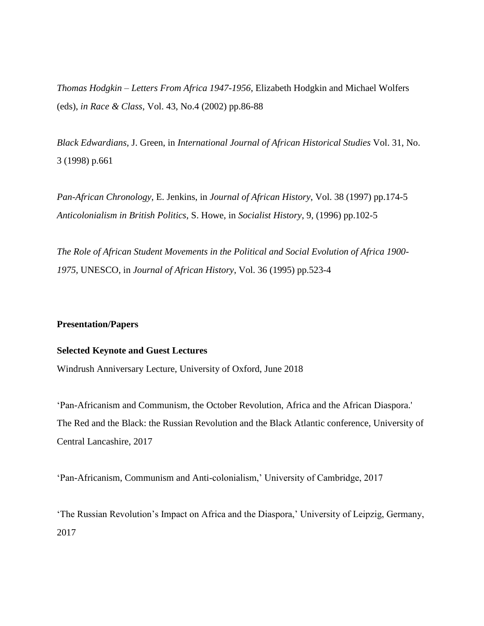*Thomas Hodgkin – Letters From Africa 1947-1956*, Elizabeth Hodgkin and Michael Wolfers (eds), *in Race & Class*, Vol. 43, No.4 (2002) pp.86-88

*Black Edwardians,* J. Green, in *International Journal of African Historical Studies* Vol. 31, No. 3 (1998) p.661

*Pan-African Chronology*, E. Jenkins, in *Journal of African History*, Vol. 38 (1997) pp.174-5 *Anticolonialism in British Politics*, S. Howe, in *Socialist History*, 9, (1996) pp.102-5

*The Role of African Student Movements in the Political and Social Evolution of Africa 1900- 1975,* UNESCO, in *Journal of African History*, Vol. 36 (1995) pp.523-4

### **Presentation/Papers**

#### **Selected Keynote and Guest Lectures**

Windrush Anniversary Lecture, University of Oxford, June 2018

'Pan-Africanism and Communism, the October Revolution, Africa and the African Diaspora.' The Red and the Black: the Russian Revolution and the Black Atlantic conference, University of Central Lancashire, 2017

'Pan-Africanism, Communism and Anti-colonialism,' University of Cambridge, 2017

'The Russian Revolution's Impact on Africa and the Diaspora,' University of Leipzig, Germany, 2017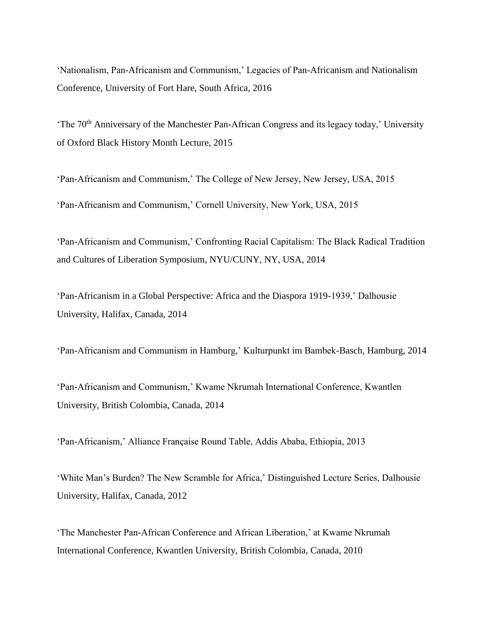'Nationalism, Pan-Africanism and Communism,' Legacies of Pan-Africanism and Nationalism Conference, University of Fort Hare, South Africa, 2016

'The  $70<sup>th</sup>$  Anniversary of the Manchester Pan-African Congress and its legacy today,' University of Oxford Black History Month Lecture, 2015

'Pan-Africanism and Communism,' The College of New Jersey, New Jersey, USA, 2015 'Pan-Africanism and Communism,' Cornell University, New York, USA, 2015

'Pan-Africanism and Communism,' Confronting Racial Capitalism: The Black Radical Tradition and Cultures of Liberation Symposium, NYU/CUNY, NY, USA, 2014

'Pan-Africanism in a Global Perspective: Africa and the Diaspora 1919-1939,' Dalhousie University, Halifax, Canada, 2014

'Pan-Africanism and Communism in Hamburg,' Kulturpunkt im Bambek-Basch, Hamburg, 2014

'Pan-Africanism and Communism,' Kwame Nkrumah International Conference, Kwantlen University, British Colombia, Canada, 2014

'Pan-Africanism,' Alliance Française Round Table, Addis Ababa, Ethiopia, 2013

'White Man's Burden? The New Scramble for Africa,' Distinguished Lecture Series, Dalhousie University, Halifax, Canada, 2012

'The Manchester Pan-African Conference and African Liberation,' at Kwame Nkrumah International Conference, Kwantlen University, British Colombia, Canada, 2010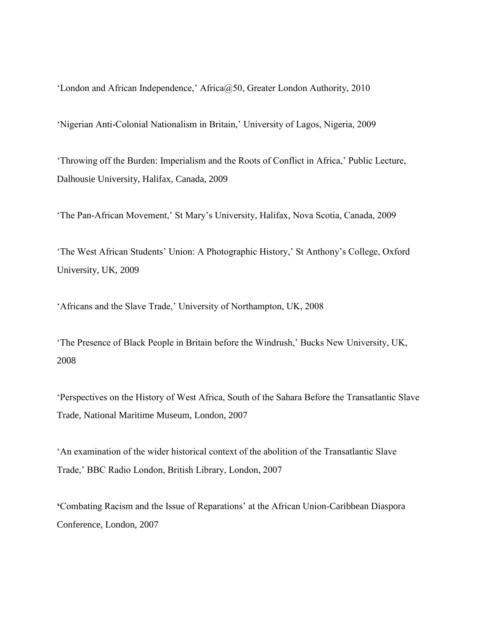'London and African Independence,' Africa@50, Greater London Authority, 2010

'Nigerian Anti-Colonial Nationalism in Britain,' University of Lagos, Nigeria, 2009

'Throwing off the Burden: Imperialism and the Roots of Conflict in Africa,' Public Lecture, Dalhousie University, Halifax, Canada, 2009

'The Pan-African Movement,' St Mary's University, Halifax, Nova Scotia, Canada, 2009

'The West African Students' Union: A Photographic History,' St Anthony's College, Oxford University, UK, 2009

'Africans and the Slave Trade,' University of Northampton, UK, 2008

'The Presence of Black People in Britain before the Windrush,' Bucks New University, UK, 2008

'Perspectives on the History of West Africa, South of the Sahara Before the Transatlantic Slave Trade, National Maritime Museum, London, 2007

'An examination of the wider historical context of the abolition of the Transatlantic Slave Trade,' BBC Radio London, British Library, London, 2007

**'**Combating Racism and the Issue of Reparations' at the African Union-Caribbean Diaspora Conference, London, 2007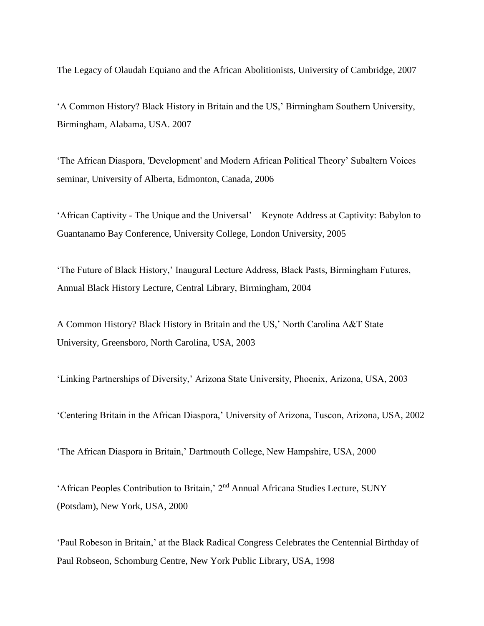The Legacy of Olaudah Equiano and the African Abolitionists, University of Cambridge, 2007

'A Common History? Black History in Britain and the US,' Birmingham Southern University, Birmingham, Alabama, USA. 2007

'The African Diaspora, 'Development' and Modern African Political Theory' Subaltern Voices seminar, University of Alberta, Edmonton, Canada, 2006

'African Captivity - The Unique and the Universal' – Keynote Address at Captivity: Babylon to Guantanamo Bay Conference, University College, London University, 2005

'The Future of Black History,' Inaugural Lecture Address, Black Pasts, Birmingham Futures, Annual Black History Lecture, Central Library, Birmingham, 2004

A Common History? Black History in Britain and the US,' North Carolina A&T State University, Greensboro, North Carolina, USA, 2003

'Linking Partnerships of Diversity,' Arizona State University, Phoenix, Arizona, USA, 2003

'Centering Britain in the African Diaspora,' University of Arizona, Tuscon, Arizona, USA, 2002

'The African Diaspora in Britain,' Dartmouth College, New Hampshire, USA, 2000

'African Peoples Contribution to Britain,' 2nd Annual Africana Studies Lecture, SUNY (Potsdam), New York, USA, 2000

'Paul Robeson in Britain,' at the Black Radical Congress Celebrates the Centennial Birthday of Paul Robseon, Schomburg Centre, New York Public Library, USA, 1998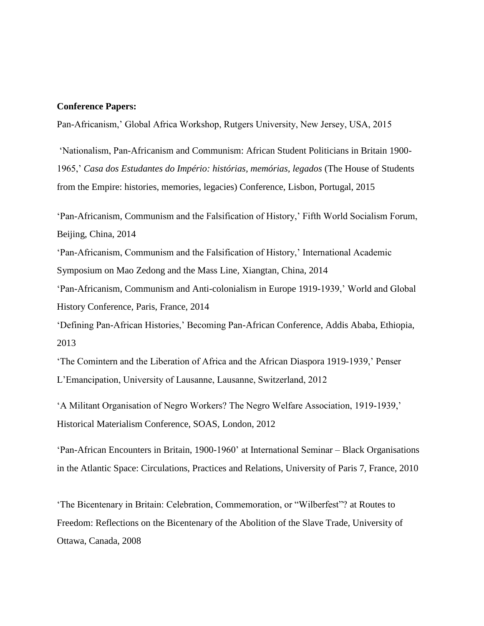#### **Conference Papers:**

Pan-Africanism,' Global Africa Workshop, Rutgers University, New Jersey, USA, 2015

'Nationalism, Pan-Africanism and Communism: African Student Politicians in Britain 1900- 1965,' *Casa dos Estudantes do Império: histórias, memórias, legados* (The House of Students from the Empire: histories, memories, legacies) Conference, Lisbon, Portugal, 2015

'Pan-Africanism, Communism and the Falsification of History,' Fifth World Socialism Forum, Beijing, China, 2014

'Pan-Africanism, Communism and the Falsification of History,' International Academic Symposium on Mao Zedong and the Mass Line, Xiangtan, China, 2014

'Pan-Africanism, Communism and Anti-colonialism in Europe 1919-1939,' World and Global History Conference, Paris, France, 2014

'Defining Pan-African Histories,' Becoming Pan-African Conference, Addis Ababa, Ethiopia, 2013

'The Comintern and the Liberation of Africa and the African Diaspora 1919-1939,' Penser L'Emancipation, University of Lausanne, Lausanne, Switzerland, 2012

'A Militant Organisation of Negro Workers? The Negro Welfare Association, 1919-1939,' Historical Materialism Conference, SOAS, London, 2012

'Pan-African Encounters in Britain, 1900-1960' at International Seminar – Black Organisations in the Atlantic Space: Circulations, Practices and Relations, University of Paris 7, France, 2010

'The Bicentenary in Britain: Celebration, Commemoration, or "Wilberfest"? at Routes to Freedom: Reflections on the Bicentenary of the Abolition of the Slave Trade, University of Ottawa, Canada, 2008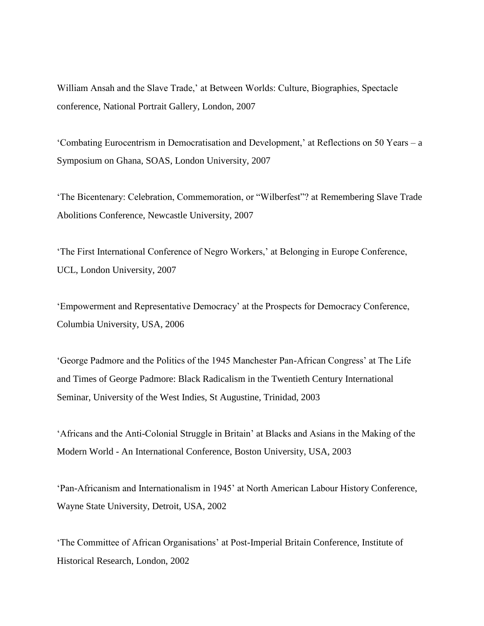William Ansah and the Slave Trade,' at Between Worlds: Culture, Biographies, Spectacle conference, National Portrait Gallery, London, 2007

'Combating Eurocentrism in Democratisation and Development,' at Reflections on 50 Years – a Symposium on Ghana, SOAS, London University, 2007

'The Bicentenary: Celebration, Commemoration, or "Wilberfest"? at Remembering Slave Trade Abolitions Conference, Newcastle University, 2007

'The First International Conference of Negro Workers,' at Belonging in Europe Conference, UCL, London University, 2007

'Empowerment and Representative Democracy' at the Prospects for Democracy Conference, Columbia University, USA, 2006

'George Padmore and the Politics of the 1945 Manchester Pan-African Congress' at The Life and Times of George Padmore: Black Radicalism in the Twentieth Century International Seminar, University of the West Indies, St Augustine, Trinidad, 2003

'Africans and the Anti-Colonial Struggle in Britain' at Blacks and Asians in the Making of the Modern World - An International Conference, Boston University, USA, 2003

'Pan-Africanism and Internationalism in 1945' at North American Labour History Conference, Wayne State University, Detroit, USA, 2002

'The Committee of African Organisations' at Post-Imperial Britain Conference, Institute of Historical Research, London, 2002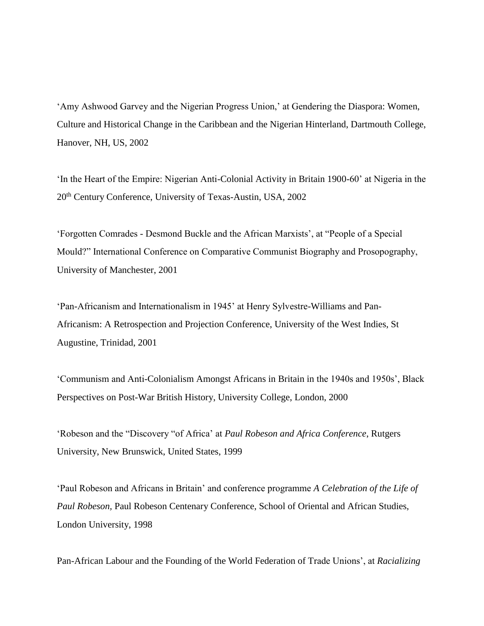'Amy Ashwood Garvey and the Nigerian Progress Union,' at Gendering the Diaspora: Women, Culture and Historical Change in the Caribbean and the Nigerian Hinterland, Dartmouth College, Hanover, NH, US, 2002

'In the Heart of the Empire: Nigerian Anti-Colonial Activity in Britain 1900-60' at Nigeria in the 20th Century Conference, University of Texas-Austin, USA, 2002

'Forgotten Comrades - Desmond Buckle and the African Marxists', at "People of a Special Mould?" International Conference on Comparative Communist Biography and Prosopography, University of Manchester, 2001

'Pan-Africanism and Internationalism in 1945' at Henry Sylvestre-Williams and Pan-Africanism: A Retrospection and Projection Conference, University of the West Indies, St Augustine, Trinidad, 2001

'Communism and Anti-Colonialism Amongst Africans in Britain in the 1940s and 1950s', Black Perspectives on Post-War British History, University College, London, 2000

'Robeson and the "Discovery "of Africa' at *Paul Robeson and Africa Conference*, Rutgers University, New Brunswick, United States, 1999

'Paul Robeson and Africans in Britain' and conference programme *A Celebration of the Life of Paul Robeson,* Paul Robeson Centenary Conference, School of Oriental and African Studies, London University, 1998

Pan-African Labour and the Founding of the World Federation of Trade Unions', at *Racializing*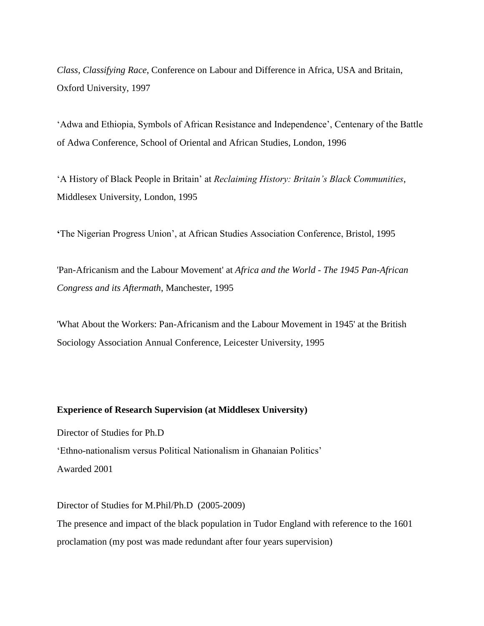*Class, Classifying Race*, Conference on Labour and Difference in Africa, USA and Britain, Oxford University, 1997

'Adwa and Ethiopia, Symbols of African Resistance and Independence', Centenary of the Battle of Adwa Conference, School of Oriental and African Studies, London, 1996

'A History of Black People in Britain' at *Reclaiming History: Britain's Black Communities*, Middlesex University, London, 1995

**'**The Nigerian Progress Union', at African Studies Association Conference, Bristol, 1995

'Pan-Africanism and the Labour Movement' at *Africa and the World - The 1945 Pan-African Congress and its Aftermath*, Manchester, 1995

'What About the Workers: Pan-Africanism and the Labour Movement in 1945' at the British Sociology Association Annual Conference, Leicester University, 1995

### **Experience of Research Supervision (at Middlesex University)**

Director of Studies for Ph.D 'Ethno-nationalism versus Political Nationalism in Ghanaian Politics' Awarded 2001

Director of Studies for M.Phil/Ph.D (2005-2009) The presence and impact of the black population in Tudor England with reference to the 1601 proclamation (my post was made redundant after four years supervision)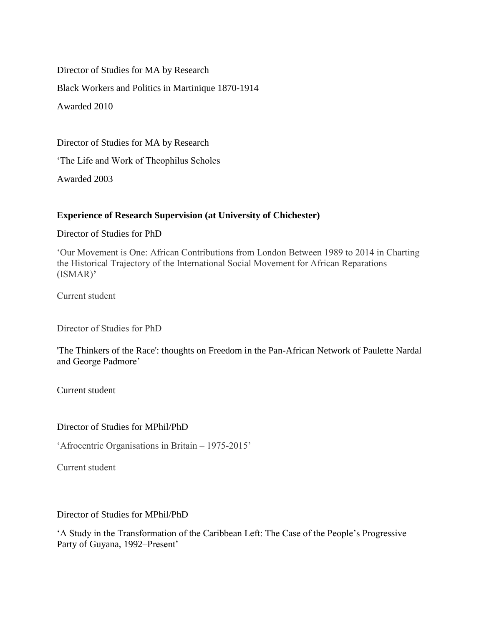Director of Studies for MA by Research Black Workers and Politics in Martinique 1870-1914 Awarded 2010

Director of Studies for MA by Research

'The Life and Work of Theophilus Scholes

Awarded 2003

# **Experience of Research Supervision (at University of Chichester)**

## Director of Studies for PhD

'Our Movement is One: African Contributions from London Between 1989 to 2014 in Charting the Historical Trajectory of the International Social Movement for African Reparations (ISMAR)**'**

Current student

Director of Studies for PhD

'The Thinkers of the Race': thoughts on Freedom in the Pan-African Network of Paulette Nardal and George Padmore'

Current student

# Director of Studies for MPhil/PhD

'Afrocentric Organisations in Britain – 1975-2015'

Current student

# Director of Studies for MPhil/PhD

'A Study in the Transformation of the Caribbean Left: The Case of the People's Progressive Party of Guyana, 1992–Present'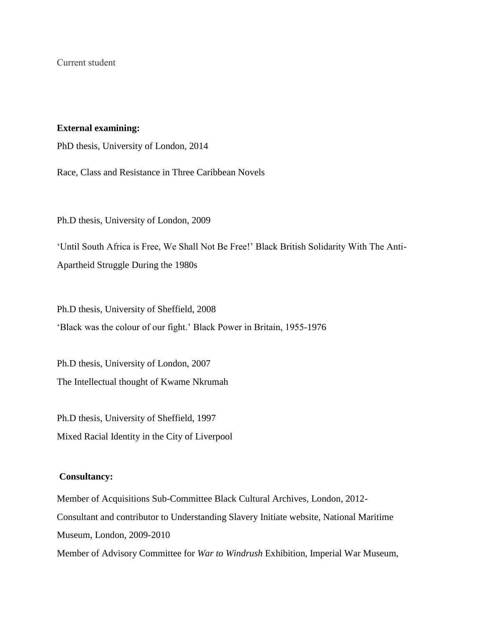Current student

### **External examining:**

PhD thesis, University of London, 2014

Race, Class and Resistance in Three Caribbean Novels

Ph.D thesis, University of London, 2009

'Until South Africa is Free, We Shall Not Be Free!' Black British Solidarity With The Anti-Apartheid Struggle During the 1980s

Ph.D thesis, University of Sheffield, 2008 'Black was the colour of our fight.' Black Power in Britain, 1955-1976

Ph.D thesis, University of London, 2007 The Intellectual thought of Kwame Nkrumah

Ph.D thesis, University of Sheffield, 1997 Mixed Racial Identity in the City of Liverpool

### **Consultancy:**

Member of Acquisitions Sub-Committee Black Cultural Archives, London, 2012- Consultant and contributor to Understanding Slavery Initiate website, National Maritime Museum, London, 2009-2010 Member of Advisory Committee for *War to Windrush* Exhibition, Imperial War Museum,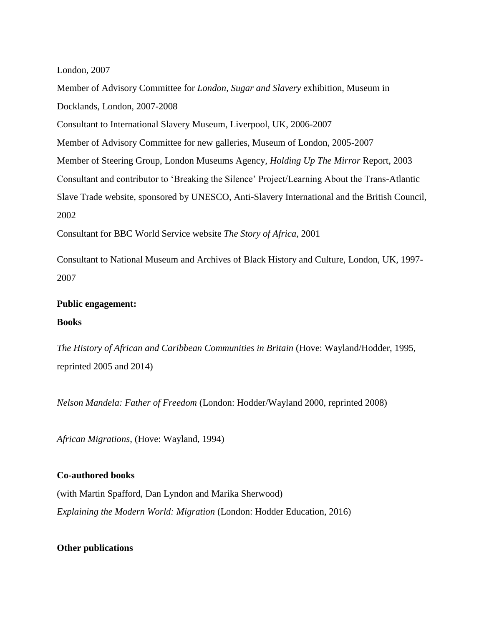London, 2007

Member of Advisory Committee for *London, Sugar and Slavery* exhibition, Museum in Docklands, London, 2007-2008 Consultant to International Slavery Museum, Liverpool, UK, 2006-2007 Member of Advisory Committee for new galleries, Museum of London, 2005-2007 Member of Steering Group, London Museums Agency, *Holding Up The Mirror* Report, 2003 Consultant and contributor to 'Breaking the Silence' Project/Learning About the Trans-Atlantic Slave Trade website, sponsored by UNESCO, Anti-Slavery International and the British Council, 2002 Consultant for BBC World Service website *The Story of Africa,* 2001

Consultant to National Museum and Archives of Black History and Culture, London, UK, 1997- 2007

### **Public engagement:**

### **Books**

*The History of African and Caribbean Communities in Britain* (Hove: Wayland/Hodder, 1995, reprinted 2005 and 2014)

*Nelson Mandela: Father of Freedom* (London: Hodder/Wayland 2000, reprinted 2008)

*African Migrations*, (Hove: Wayland, 1994)

### **Co-authored books**

(with Martin Spafford, Dan Lyndon and Marika Sherwood) *Explaining the Modern World: Migration* (London: Hodder Education, 2016)

### **Other publications**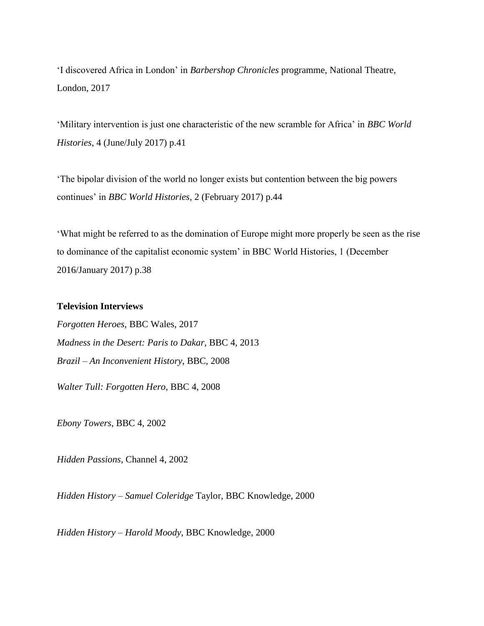'I discovered Africa in London' in *Barbershop Chronicles* programme, National Theatre, London, 2017

'Military intervention is just one characteristic of the new scramble for Africa' in *BBC World Histories*, 4 (June/July 2017) p.41

'The bipolar division of the world no longer exists but contention between the big powers continues' in *BBC World Histories*, 2 (February 2017) p.44

'What might be referred to as the domination of Europe might more properly be seen as the rise to dominance of the capitalist economic system' in BBC World Histories, 1 (December 2016/January 2017) p.38

### **Television Interviews**

*Forgotten Heroes*, BBC Wales, 2017 *Madness in the Desert: Paris to Dakar,* BBC 4, 2013 *Brazil – An Inconvenient History*, BBC, 2008 *Walter Tull: Forgotten Hero*, BBC 4, 2008

*Ebony Towers*, BBC 4, 2002

*Hidden Passions*, Channel 4, 2002

*Hidden History – Samuel Coleridge* Taylor, BBC Knowledge, 2000

*Hidden History – Harold Moody*, BBC Knowledge, 2000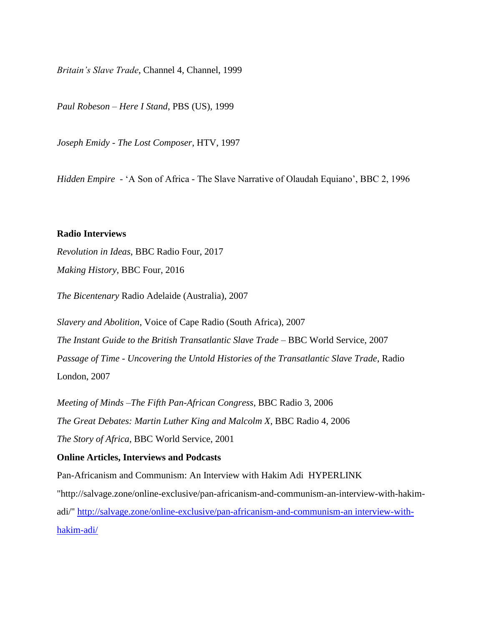*Britain's Slave Trade*, Channel 4, Channel, 1999

*Paul Robeson – Here I Stand*, PBS (US), 1999

*Joseph Emidy - The Lost Composer*, HTV, 1997

*Hidden Empire* - 'A Son of Africa - The Slave Narrative of Olaudah Equiano', BBC 2, 1996

#### **Radio Interviews**

*Revolution in Ideas*, BBC Radio Four, 2017 *Making History*, BBC Four, 2016

*The Bicentenary* Radio Adelaide (Australia), 2007

*Slavery and Abolition*, Voice of Cape Radio (South Africa), 2007 *The Instant Guide to the British Transatlantic Slave Trade* – BBC World Service, 2007 *Passage of Time - Uncovering the Untold Histories of the Transatlantic Slave Trade*, Radio London, 2007

*Meeting of Minds –The Fifth Pan-African Congress*, BBC Radio 3, 2006 *The Great Debates: Martin Luther King and Malcolm X*, BBC Radio 4, 2006 *The Story of Africa*, BBC World Service, 2001

### **Online Articles, Interviews and Podcasts**

Pan-Africanism and Communism: An Interview with Hakim Adi HYPERLINK "http://salvage.zone/online-exclusive/pan-africanism-and-communism-an-interview-with-hakimadi/" http://salvage.zone/online-exclusive/pan-africanism-and-communism-an interview-withhakim-adi/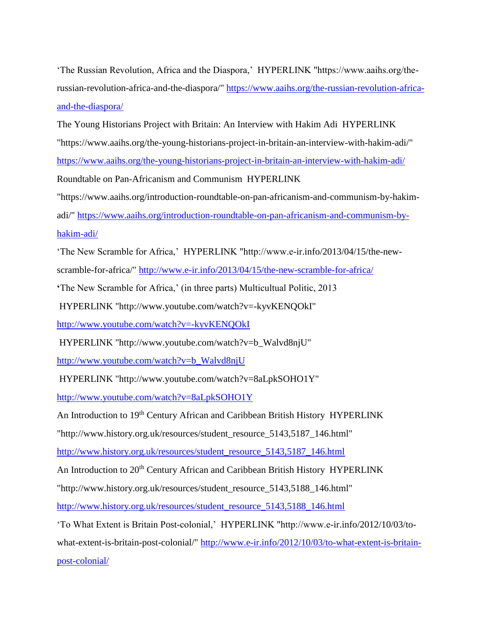'The Russian Revolution, Africa and the Diaspora,' HYPERLINK "https://www.aaihs.org/therussian-revolution-africa-and-the-diaspora/" https://www.aaihs.org/the-russian-revolution-africaand-the-diaspora/

The Young Historians Project with Britain: An Interview with Hakim Adi HYPERLINK "https://www.aaihs.org/the-young-historians-project-in-britain-an-interview-with-hakim-adi/" https://www.aaihs.org/the-young-historians-project-in-britain-an-interview-with-hakim-adi/ Roundtable on Pan-Africanism and Communism HYPERLINK

"https://www.aaihs.org/introduction-roundtable-on-pan-africanism-and-communism-by-hakim-

adi/" https://www.aaihs.org/introduction-roundtable-on-pan-africanism-and-communism-byhakim-adi/

'The New Scramble for Africa,' HYPERLINK "http://www.e-ir.info/2013/04/15/the-new-

scramble-for-africa/" http://www.e-ir.info/2013/04/15/the-new-scramble-for-africa/

**'**The New Scramble for Africa,' (in three parts) Multicultual Politic, 2013

HYPERLINK "http://www.youtube.com/watch?v=-kyvKENQOkI"

http://www.youtube.com/watch?v=-kyvKENQOkI

HYPERLINK "http://www.youtube.com/watch?v=b\_Walvd8njU"

http://www.youtube.com/watch?v=b\_Walvd8njU

HYPERLINK "http://www.youtube.com/watch?v=8aLpkSOHO1Y"

http://www.youtube.com/watch?v=8aLpkSOHO1Y

An Introduction to 19<sup>th</sup> Century African and Caribbean British History HYPERLINK

"http://www.history.org.uk/resources/student\_resource\_5143,5187\_146.html"

http://www.history.org.uk/resources/student\_resource\_5143,5187\_146.html

An Introduction to 20<sup>th</sup> Century African and Caribbean British History HYPERLINK

"http://www.history.org.uk/resources/student\_resource\_5143,5188\_146.html"

http://www.history.org.uk/resources/student\_resource\_5143,5188\_146.html

'To What Extent is Britain Post-colonial,' HYPERLINK "http://www.e-ir.info/2012/10/03/to-

what-extent-is-britain-post-colonial/" http://www.e-ir.info/2012/10/03/to-what-extent-is-britainpost-colonial/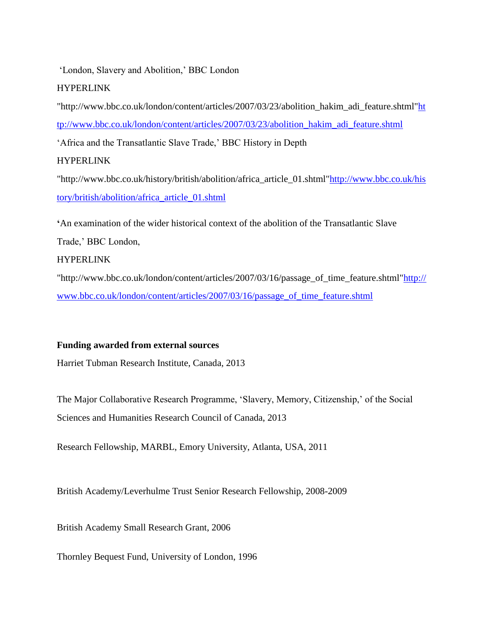'London, Slavery and Abolition,' BBC London

# HYPERLINK

"http://www.bbc.co.uk/london/content/articles/2007/03/23/abolition\_hakim\_adi\_feature.shtml"ht tp://www.bbc.co.uk/london/content/articles/2007/03/23/abolition\_hakim\_adi\_feature.shtml 'Africa and the Transatlantic Slave Trade,' BBC History in Depth **HYPERLINK** "http://www.bbc.co.uk/history/british/abolition/africa\_article\_01.shtml"http://www.bbc.co.uk/his

tory/british/abolition/africa\_article\_01.shtml

**'**An examination of the wider historical context of the abolition of the Transatlantic Slave Trade,' BBC London,

# HYPERLINK

"http://www.bbc.co.uk/london/content/articles/2007/03/16/passage\_of\_time\_feature.shtml"http:// www.bbc.co.uk/london/content/articles/2007/03/16/passage\_of\_time\_feature.shtml

# **Funding awarded from external sources**

Harriet Tubman Research Institute, Canada, 2013

The Major Collaborative Research Programme, 'Slavery, Memory, Citizenship,' of the Social Sciences and Humanities Research Council of Canada, 2013

Research Fellowship, MARBL, Emory University, Atlanta, USA, 2011

British Academy/Leverhulme Trust Senior Research Fellowship, 2008-2009

British Academy Small Research Grant, 2006

Thornley Bequest Fund, University of London, 1996